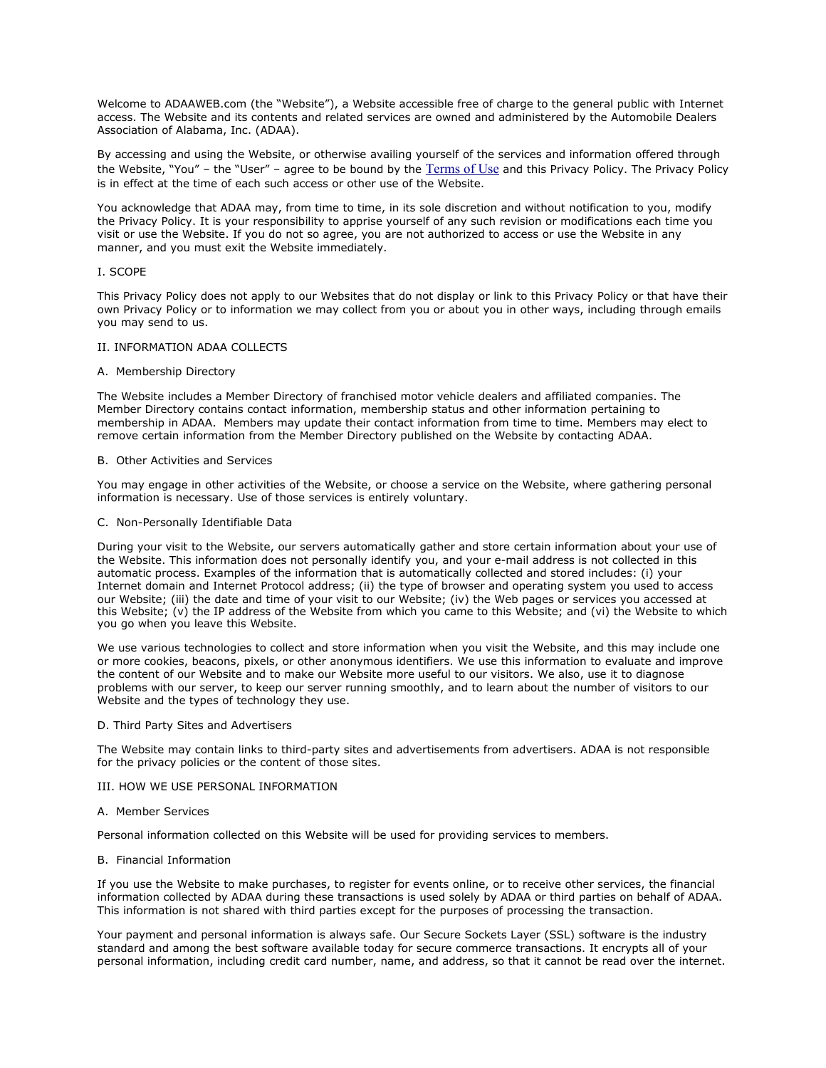Welcome to ADAAWEB.com (the "Website"), a Website accessible free of charge to the general public with Internet access. The Website and its contents and related services are owned and administered by the Automobile Dealers Association of Alabama, Inc. (ADAA).

By accessing and using the Website, or otherwise availing yourself of the services and information offered through the Website, "You" – the "User" – agree to be bound by the [Terms of Use](http://www.adaaweb.com/docs/termsofuse.pdf) and this Privacy Policy. The Privacy Policy is in effect at the time of each such access or other use of the Website.

You acknowledge that ADAA may, from time to time, in its sole discretion and without notification to you, modify the Privacy Policy. It is your responsibility to apprise yourself of any such revision or modifications each time you visit or use the Website. If you do not so agree, you are not authorized to access or use the Website in any manner, and you must exit the Website immediately.

# I. SCOPE

This Privacy Policy does not apply to our Websites that do not display or link to this Privacy Policy or that have their own Privacy Policy or to information we may collect from you or about you in other ways, including through emails you may send to us.

## II. INFORMATION ADAA COLLECTS

## A. Membership Directory

The Website includes a Member Directory of franchised motor vehicle dealers and affiliated companies. The Member Directory contains contact information, membership status and other information pertaining to membership in ADAA. Members may update their contact information from time to time. Members may elect to remove certain information from the Member Directory published on the Website by contacting ADAA.

#### B. Other Activities and Services

You may engage in other activities of the Website, or choose a service on the Website, where gathering personal information is necessary. Use of those services is entirely voluntary.

#### C. Non-Personally Identifiable Data

During your visit to the Website, our servers automatically gather and store certain information about your use of the Website. This information does not personally identify you, and your e-mail address is not collected in this automatic process. Examples of the information that is automatically collected and stored includes: (i) your Internet domain and Internet Protocol address; (ii) the type of browser and operating system you used to access our Website; (iii) the date and time of your visit to our Website; (iv) the Web pages or services you accessed at this Website; (v) the IP address of the Website from which you came to this Website; and (vi) the Website to which you go when you leave this Website.

We use various technologies to collect and store information when you visit the Website, and this may include one or more cookies, beacons, pixels, or other anonymous identifiers. We use this information to evaluate and improve the content of our Website and to make our Website more useful to our visitors. We also, use it to diagnose problems with our server, to keep our server running smoothly, and to learn about the number of visitors to our Website and the types of technology they use.

#### D. Third Party Sites and Advertisers

The Website may contain links to third-party sites and advertisements from advertisers. ADAA is not responsible for the privacy policies or the content of those sites.

# III. HOW WE USE PERSONAL INFORMATION

#### A. Member Services

Personal information collected on this Website will be used for providing services to members.

### B. Financial Information

If you use the Website to make purchases, to register for events online, or to receive other services, the financial information collected by ADAA during these transactions is used solely by ADAA or third parties on behalf of ADAA. This information is not shared with third parties except for the purposes of processing the transaction.

Your payment and personal information is always safe. Our Secure Sockets Layer (SSL) software is the industry standard and among the best software available today for secure commerce transactions. It encrypts all of your personal information, including credit card number, name, and address, so that it cannot be read over the internet.